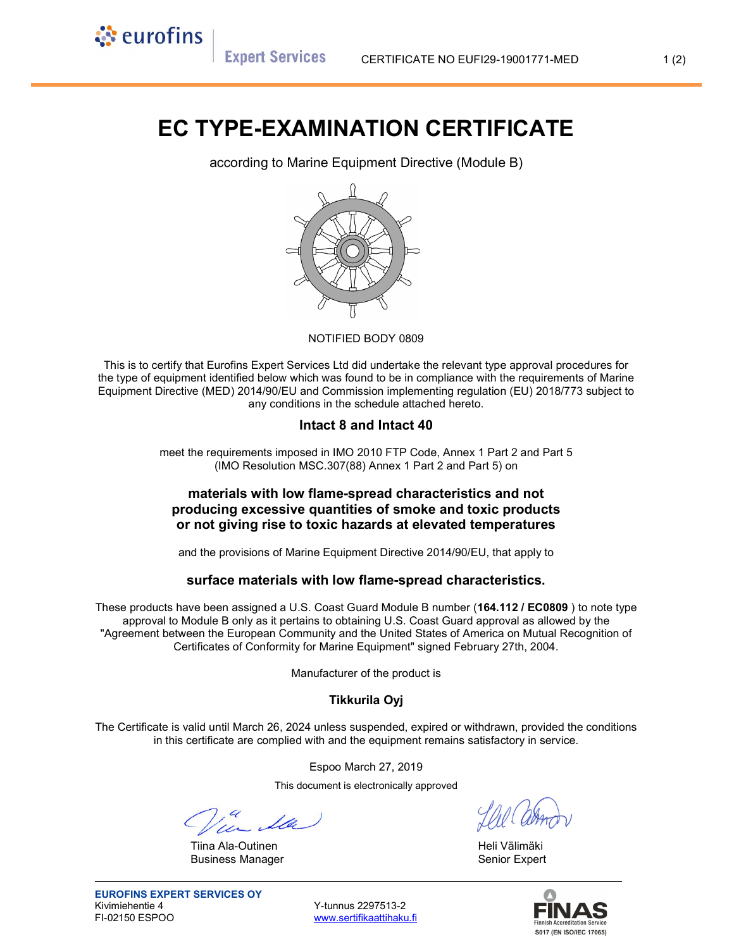**Expert Services** 

े eurofins

# EC TYPE-EXAMINATION CERTIFICATE

according to Marine Equipment Directive (Module B)



#### NOTIFIED BODY 0809

This is to certify that Eurofins Expert Services Ltd did undertake the relevant type approval procedures for the type of equipment identified below which was found to be in compliance with the requirements of Marine Equipment Directive (MED) 2014/90/EU and Commission implementing regulation (EU) 2018/773 subject to any conditions in the schedule attached hereto.

## Intact 8 and Intact 40

meet the requirements imposed in IMO 2010 FTP Code, Annex 1 Part 2 and Part 5 (IMO Resolution MSC.307(88) Annex 1 Part 2 and Part 5) on

# materials with low flame-spread characteristics and not producing excessive quantities of smoke and toxic products or not giving rise to toxic hazards at elevated temperatures

and the provisions of Marine Equipment Directive 2014/90/EU, that apply to

### surface materials with low flame-spread characteristics.

These products have been assigned a U.S. Coast Guard Module B number (164.112 / EC0809) to note type approval to Module B only as it pertains to obtaining U.S. Coast Guard approval as allowed by the "Agreement between the European Community and the United States of America on Mutual Recognition of Certificates of Conformity for Marine Equipment" signed February 27th, 2004.

Manufacturer of the product is

### Tikkurila Oyj

The Certificate is valid until March 26, 2024 unless suspended, expired or withdrawn, provided the conditions in this certificate are complied with and the equipment remains satisfactory in service.

> Espoo March 27, 2019 This document is electronically approved

Tiina Ala-Outinen Heli Välimäki Business Manager **Senior Expert** Senior Expert

www.sertifikaattihaku.fi